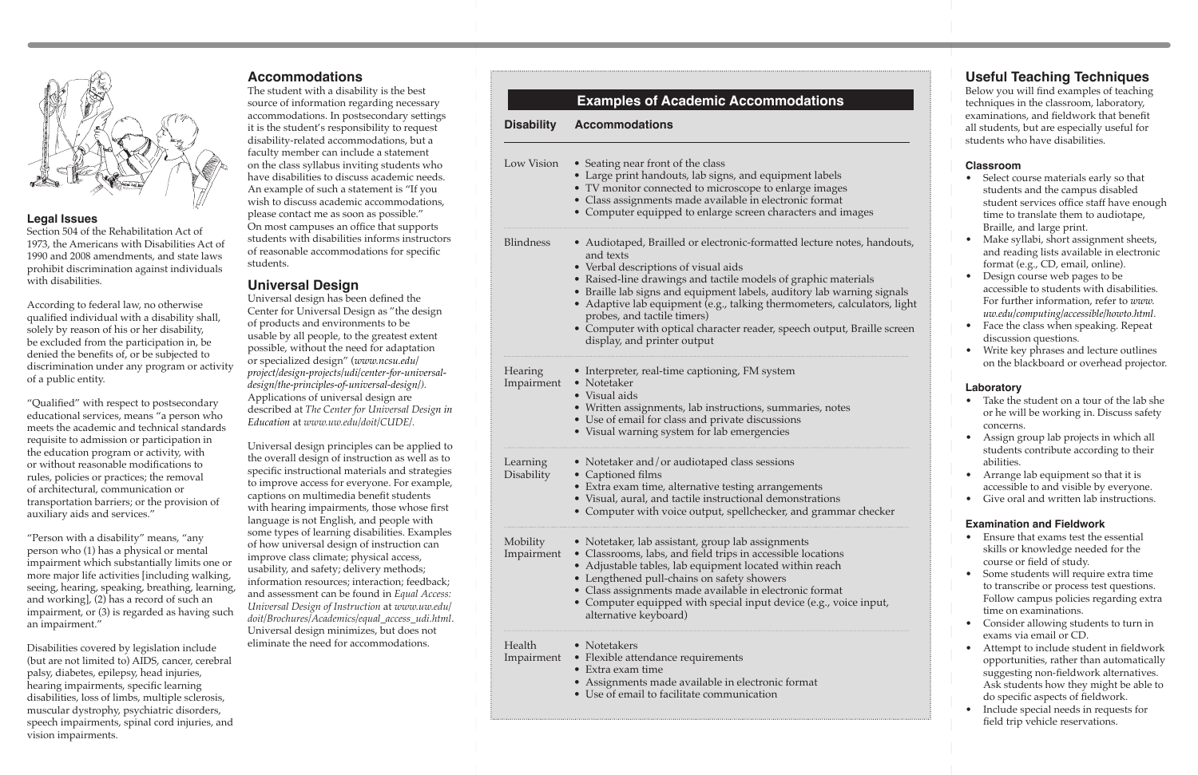

#### **Legal Issues**

Section 504 of the Rehabilitation Act of 1973, the Americans with Disabilities Act of 1990 and 2008 amendments, and state laws prohibit discrimination against individuals with disabilities.

According to federal law, no otherwise qualified individual with a disability shall, solely by reason of his or her disability, be excluded from the participation in, be denied the benefits of, or be subjected to discrimination under any program or activity of a public entity.

"Qualified" with respect to postsecondary educational services, means "a person who meets the academic and technical standards requisite to admission or participation in the education program or activity, with or without reasonable modifications to rules, policies or practices; the removal of architectural, communication or transportation barriers; or the provision of auxiliary aids and services."

"Person with a disability" means, "any person who (1) has a physical or mental impairment which substantially limits one or more major life activities [including walking, seeing, hearing, speaking, breathing, learning, and working], (2) has a record of such an impairment, or (3) is regarded as having such an impairment."

Disabilities covered by legislation include (but are not limited to) AIDS, cancer, cerebral palsy, diabetes, epilepsy, head injuries, hearing impairments, specific learning disabilities, loss of limbs, multiple sclerosis, muscular dystrophy, psychiatric disorders, speech impairments, spinal cord injuries, and vision impairments.

#### **Accommodations**

The student with a disability is the best source of information regarding necessary accommodations. In postsecondary settings it is the student's responsibility to request disability-related accommodations, but a faculty member can include a statement on the class syllabus inviting students who have disabilities to discuss academic needs. An example of such a statement is "If you wish to discuss academic accommodations, please contact me as soon as possible." On most campuses an office that supports students with disabilities informs instructors of reasonable accommodations for specific students.

#### **Universal Design**

Universal design has been defined the Center for Universal Design as "the design of products and environments to be usable by all people, to the greatest extent possible, without the need for adaptation or specialized design" (*[www.ncsu.edu/](http://www.ncsu.edu/project/design-projects/udi/center-for-universal-design/the-principles-of-universal-design/) [project/design-projects/udi/center-for-universal](http://www.ncsu.edu/project/design-projects/udi/center-for-universal-design/the-principles-of-universal-design/)[design/the-principles-of-universal-design/\)](http://www.ncsu.edu/project/design-projects/udi/center-for-universal-design/the-principles-of-universal-design/).*  Applications of universal design are described at *The Center for Universal Design in Education* at *[www.uw.edu/doit/CUDE/](http://www.uw.edu/doit/CUDE/).*

Universal design principles can be applied to the overall design of instruction as well as to specific instructional materials and strategies to improve access for everyone. For example, captions on multimedia benefit students with hearing impairments, those whose first language is not English, and people with some types of learning disabilities. Examples of how universal design of instruction can improve class climate; physical access, usability, and safety; delivery methods; information resources; interaction; feedback; and assessment can be found in *Equal Access: Universal Design of Instruction* at *[www.uw.edu/](http://www.uw.edu/doit/Brochures/Academics/equal_access_udi.html) [doit/Brochures/Academics/equal\\_access\\_udi.html](http://www.uw.edu/doit/Brochures/Academics/equal_access_udi.html)*. Universal design minimizes, but does not eliminate the need for accommodations.

## **Useful Teaching Techniques**

Below you will find examples of teaching techniques in the classroom, laboratory, examinations, and fieldwork that benefit all students, but are especially useful for students who have disabilities.

#### **Classroom**

- Select course materials early so that students and the campus disabled student services office staff have enough time to translate them to audiotape, Braille, and large print.
- Make syllabi, short assignment sheets, and reading lists available in electronic format (e.g., CD, email, online).
- Design course web pages to be accessible to students with disabilities. For further information, refer to *[www.](http://www.uw.edu/computing/accessible/howto.html) [uw.edu/computing/accessible/howto.html](http://www.uw.edu/computing/accessible/howto.html)*.
- Face the class when speaking. Repeat discussion questions.
- Write key phrases and lecture outlines on the blackboard or overhead projector.

#### **Laboratory**

- Take the student on a tour of the lab she or he will be working in. Discuss safety concerns.
- Assign group lab projects in which all students contribute according to their abilities.
- Arrange lab equipment so that it is accessible to and visible by everyone.
- Give oral and written lab instructions.

#### **Examination and Fieldwork**

- Ensure that exams test the essential skills or knowledge needed for the course or field of study.
- Some students will require extra time to transcribe or process test questions. Follow campus policies regarding extra time on examinations.
- Consider allowing students to turn in exams via email or CD.
- Attempt to include student in fieldwork opportunities, rather than automatically suggesting non-fieldwork alternatives. Ask students how they might be able to do specific aspects of fieldwork.
- Include special needs in requests for field trip vehicle reservations.

|                        | <b>Examples of Academic Accommodations</b>                                                                                                                                                                                                                                                                                                                                                                                                                                                    |  |  |  |  |
|------------------------|-----------------------------------------------------------------------------------------------------------------------------------------------------------------------------------------------------------------------------------------------------------------------------------------------------------------------------------------------------------------------------------------------------------------------------------------------------------------------------------------------|--|--|--|--|
| <b>Disability</b>      | <b>Accommodations</b>                                                                                                                                                                                                                                                                                                                                                                                                                                                                         |  |  |  |  |
| Low Vision             | • Seating near front of the class<br>• Large print handouts, lab signs, and equipment labels<br>• TV monitor connected to microscope to enlarge images<br>• Class assignments made available in electronic format<br>• Computer equipped to enlarge screen characters and images                                                                                                                                                                                                              |  |  |  |  |
| <b>Blindness</b>       | • Audiotaped, Brailled or electronic-formatted lecture notes, handouts,<br>and texts<br>• Verbal descriptions of visual aids<br>• Raised-line drawings and tactile models of graphic materials<br>• Braille lab signs and equipment labels, auditory lab warning signals<br>• Adaptive lab equipment (e.g., talking thermometers, calculators, light<br>probes, and tactile timers)<br>• Computer with optical character reader, speech output, Braille screen<br>display, and printer output |  |  |  |  |
| Hearing<br>Impairment  | • Interpreter, real-time captioning, FM system<br>• Notetaker<br>• Visual aids<br>• Written assignments, lab instructions, summaries, notes<br>• Use of email for class and private discussions<br>• Visual warning system for lab emergencies                                                                                                                                                                                                                                                |  |  |  |  |
| Learning<br>Disability | • Notetaker and/or audiotaped class sessions<br>• Captioned films<br>• Extra exam time, alternative testing arrangements<br>• Visual, aural, and tactile instructional demonstrations<br>• Computer with voice output, spellchecker, and grammar checker                                                                                                                                                                                                                                      |  |  |  |  |
| Mobility<br>Impairment | • Notetaker, lab assistant, group lab assignments<br>• Classrooms, labs, and field trips in accessible locations<br>• Adjustable tables, lab equipment located within reach<br>• Lengthened pull-chains on safety showers<br>• Class assignments made available in electronic format<br>• Computer equipped with special input device (e.g., voice input,<br>alternative keyboard)                                                                                                            |  |  |  |  |
| Health<br>Impairment   | • Notetakers<br>• Flexible attendance requirements<br>• Extra exam time<br>• Assignments made available in electronic format<br>• Use of email to facilitate communication                                                                                                                                                                                                                                                                                                                    |  |  |  |  |